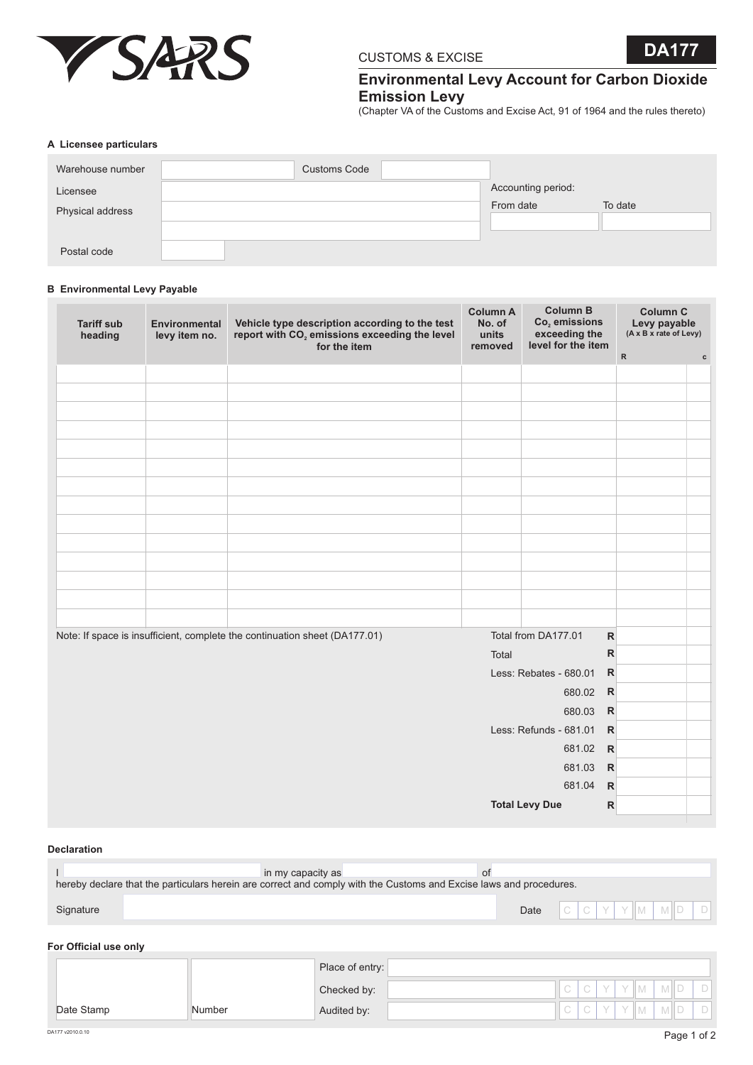

# CUSTOMS & EXCISE **DA177**

# **Environmental Levy Account for Carbon Dioxide Emission Levy**

(Chapter VA of the Customs and Excise Act, 91 of 1964 and the rules thereto)

#### **A Licensee particulars**

| Warehouse number | <b>Customs Code</b> |                    |         |
|------------------|---------------------|--------------------|---------|
| Licensee         |                     | Accounting period: |         |
| Physical address |                     | From date          | To date |
|                  |                     |                    |         |
|                  |                     |                    |         |
| Postal code      |                     |                    |         |

## **B Environmental Levy Payable**

| <b>Tariff sub</b><br>heading | <b>Environmental</b><br>levy item no. | Vehicle type description according to the test<br>report with CO <sub>2</sub> emissions exceeding the level<br>for the item | <b>Column A</b><br>No. of<br>units<br>removed | <b>Column B</b><br>$Co2$ emissions<br>exceeding the<br>level for the item |              | <b>Column C</b><br>Levy payable<br>(A x B x rate of Levy) |             |
|------------------------------|---------------------------------------|-----------------------------------------------------------------------------------------------------------------------------|-----------------------------------------------|---------------------------------------------------------------------------|--------------|-----------------------------------------------------------|-------------|
|                              |                                       |                                                                                                                             |                                               |                                                                           | ${\sf R}$    |                                                           | $\mathbf c$ |
|                              |                                       |                                                                                                                             |                                               |                                                                           |              |                                                           |             |
|                              |                                       |                                                                                                                             |                                               |                                                                           |              |                                                           |             |
|                              |                                       |                                                                                                                             |                                               |                                                                           |              |                                                           |             |
|                              |                                       |                                                                                                                             |                                               |                                                                           |              |                                                           |             |
|                              |                                       |                                                                                                                             |                                               |                                                                           |              |                                                           |             |
|                              |                                       |                                                                                                                             |                                               |                                                                           |              |                                                           |             |
|                              |                                       |                                                                                                                             |                                               |                                                                           |              |                                                           |             |
|                              |                                       |                                                                                                                             |                                               |                                                                           |              |                                                           |             |
|                              |                                       |                                                                                                                             |                                               |                                                                           |              |                                                           |             |
|                              |                                       |                                                                                                                             |                                               |                                                                           |              |                                                           |             |
|                              |                                       |                                                                                                                             |                                               |                                                                           |              |                                                           |             |
|                              |                                       |                                                                                                                             |                                               |                                                                           |              |                                                           |             |
|                              |                                       |                                                                                                                             |                                               |                                                                           |              |                                                           |             |
|                              |                                       |                                                                                                                             |                                               |                                                                           |              |                                                           |             |
|                              |                                       | Note: If space is insufficient, complete the continuation sheet (DA177.01)                                                  |                                               | Total from DA177.01                                                       | ${\sf R}$    |                                                           |             |
|                              |                                       |                                                                                                                             | Total                                         |                                                                           | $\mathsf{R}$ |                                                           |             |
|                              |                                       |                                                                                                                             |                                               | Less: Rebates - 680.01                                                    | $\mathsf{R}$ |                                                           |             |
|                              |                                       |                                                                                                                             |                                               | 680.02                                                                    | $\mathsf{R}$ |                                                           |             |
|                              |                                       |                                                                                                                             |                                               | 680.03                                                                    | $\mathsf{R}$ |                                                           |             |
|                              |                                       |                                                                                                                             |                                               | Less: Refunds - 681.01                                                    | $\mathsf{R}$ |                                                           |             |
|                              |                                       |                                                                                                                             |                                               | 681.02                                                                    | $\mathsf{R}$ |                                                           |             |
|                              |                                       |                                                                                                                             |                                               | 681.03                                                                    | $\mathsf{R}$ |                                                           |             |
|                              |                                       |                                                                                                                             |                                               | 681.04                                                                    | $\mathsf{R}$ |                                                           |             |
|                              |                                       |                                                                                                                             |                                               | <b>Total Levy Due</b>                                                     | $\mathsf{R}$ |                                                           |             |

#### **Declaration**

|           | in my capacity as                                                                                                  |                          |  |  |
|-----------|--------------------------------------------------------------------------------------------------------------------|--------------------------|--|--|
|           | hereby declare that the particulars herein are correct and comply with the Customs and Excise laws and procedures. |                          |  |  |
|           |                                                                                                                    |                          |  |  |
| Signature |                                                                                                                    | Date $C C Y Y M M D D D$ |  |  |

#### **For Official use only**

|            |        | Place of entry: |  |  |     |            |  |
|------------|--------|-----------------|--|--|-----|------------|--|
|            |        | Checked by:     |  |  | YIM | M I D      |  |
| Date Stamp | Number | Audited by:     |  |  | YIM | <b>MID</b> |  |